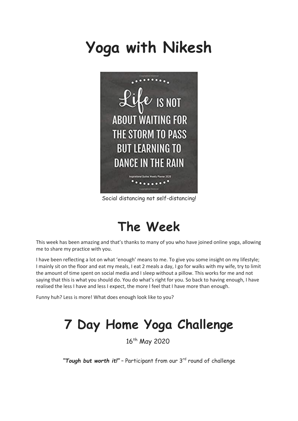# **Yoga with Nikesh**



Social distancing not self-distancing!

### **The Week**

This week has been amazing and that's thanks to many of you who have joined online yoga, allowing me to share my practice with you.

I have been reflecting a lot on what 'enough' means to me. To give you some insight on my lifestyle; I mainly sit on the floor and eat my meals, I eat 2 meals a day, I go for walks with my wife, try to limit the amount of time spent on social media and I sleep without a pillow. This works for me and not saying that this is what you should do. You do what's right for you. So back to having enough, I have realised the less I have and less I expect, the more I feel that I have more than enough.

Funny huh? Less is more! What does enough look like to you?

## **7 Day Home Yoga Challenge**

16<sup>th</sup> May 2020

"Tough but worth it!" - Participant from our 3<sup>rd</sup> round of challenge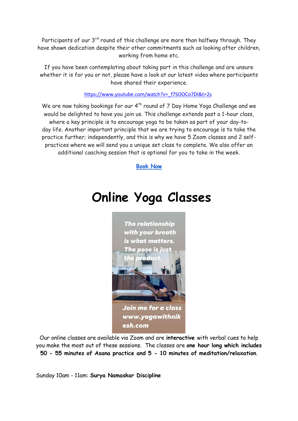Participants of our  $3^{rd}$  round of this challenge are more than halfway through. They have shown dedication despite their other commitments such as looking after children, working from home etc.

If you have been contemplating about taking part in this challenge and are unsure whether it is for you or not, please have a look at our latest video where participants have shared their experience.

#### [https://www.youtube.com/watch?v=\\_f7SOOCo7DI&t=2s](https://www.youtube.com/watch?v=_f7SOOCo7DI&t=2s)

We are now taking bookings for our 4<sup>th</sup> round of 7 Day Home Yoga Challenge and we would be delighted to have you join us. This challenge extends past a 1-hour class, where a key principle is to encourage yoga to be taken as part of your day-today life. Another important principle that we are trying to encourage is to take the practice further; independently, and this is why we have 5 Zoom classes and 2 selfpractices where we will send you a unique set class to complete. We also offer an additional coaching session that is optional for you to take in the week.

#### **[Book Now](https://www.yogawithnikesh.com/7-day)**

### **Online Yoga Classes**



Our online classes are available via Zoom and are **interactive** with verbal cues to help you make the most out of these sessions. The classes are **one hour long which includes 50 - 55 minutes of Asana practice and 5 - 10 minutes of meditation/relaxation**.

Sunday 10am - 11am: **Surya Namaskar Discipline**